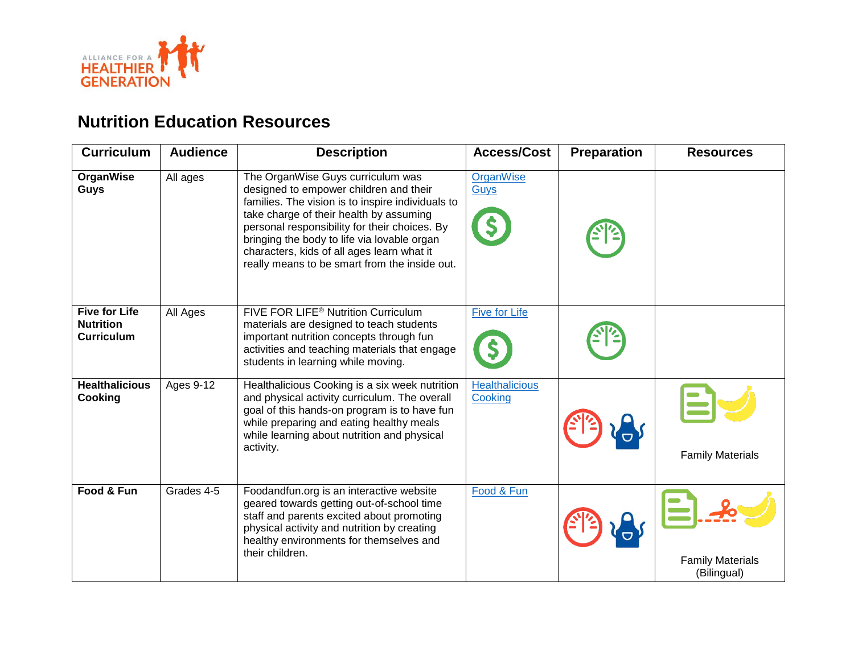

| <b>Curriculum</b>                                             | <b>Audience</b> | <b>Description</b>                                                                                                                                                                                                                                                                                                                                                         | <b>Access/Cost</b>               | Preparation | <b>Resources</b>                       |
|---------------------------------------------------------------|-----------------|----------------------------------------------------------------------------------------------------------------------------------------------------------------------------------------------------------------------------------------------------------------------------------------------------------------------------------------------------------------------------|----------------------------------|-------------|----------------------------------------|
| OrganWise<br><b>Guys</b>                                      | All ages        | The OrganWise Guys curriculum was<br>designed to empower children and their<br>families. The vision is to inspire individuals to<br>take charge of their health by assuming<br>personal responsibility for their choices. By<br>bringing the body to life via lovable organ<br>characters, kids of all ages learn what it<br>really means to be smart from the inside out. | OrganWise<br>Guys                |             |                                        |
| <b>Five for Life</b><br><b>Nutrition</b><br><b>Curriculum</b> | All Ages        | FIVE FOR LIFE <sup>®</sup> Nutrition Curriculum<br>materials are designed to teach students<br>important nutrition concepts through fun<br>activities and teaching materials that engage<br>students in learning while moving.                                                                                                                                             | <b>Five for Life</b>             |             |                                        |
| <b>Healthalicious</b><br>Cooking                              | Ages 9-12       | Healthalicious Cooking is a six week nutrition<br>and physical activity curriculum. The overall<br>goal of this hands-on program is to have fun<br>while preparing and eating healthy meals<br>while learning about nutrition and physical<br>activity.                                                                                                                    | <b>Healthalicious</b><br>Cooking |             | <b>Family Materials</b>                |
| Food & Fun                                                    | Grades 4-5      | Foodandfun.org is an interactive website<br>geared towards getting out-of-school time<br>staff and parents excited about promoting<br>physical activity and nutrition by creating<br>healthy environments for themselves and<br>their children.                                                                                                                            | Food & Fun                       |             | <b>Family Materials</b><br>(Bilingual) |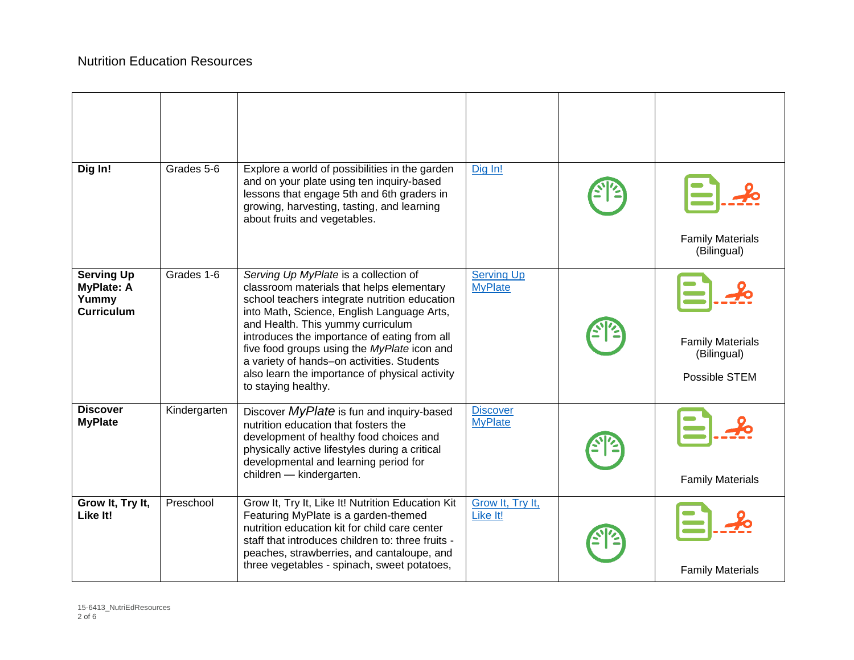| Dig In!                                                              | Grades 5-6   | Explore a world of possibilities in the garden<br>and on your plate using ten inquiry-based<br>lessons that engage 5th and 6th graders in<br>growing, harvesting, tasting, and learning<br>about fruits and vegetables.                                                                                                                                                                                                                      | Dig In!                             | <b>Family Materials</b><br>(Bilingual)                  |
|----------------------------------------------------------------------|--------------|----------------------------------------------------------------------------------------------------------------------------------------------------------------------------------------------------------------------------------------------------------------------------------------------------------------------------------------------------------------------------------------------------------------------------------------------|-------------------------------------|---------------------------------------------------------|
| <b>Serving Up</b><br><b>MyPlate: A</b><br>Yummy<br><b>Curriculum</b> | Grades 1-6   | Serving Up MyPlate is a collection of<br>classroom materials that helps elementary<br>school teachers integrate nutrition education<br>into Math, Science, English Language Arts,<br>and Health. This yummy curriculum<br>introduces the importance of eating from all<br>five food groups using the MyPlate icon and<br>a variety of hands-on activities. Students<br>also learn the importance of physical activity<br>to staying healthy. | <b>Serving Up</b><br><b>MyPlate</b> | <b>Family Materials</b><br>(Bilingual)<br>Possible STEM |
| <b>Discover</b><br><b>MyPlate</b>                                    | Kindergarten | Discover MyPlate is fun and inquiry-based<br>nutrition education that fosters the<br>development of healthy food choices and<br>physically active lifestyles during a critical<br>developmental and learning period for<br>children - kindergarten.                                                                                                                                                                                          | <b>Discover</b><br><b>MyPlate</b>   | <b>Family Materials</b>                                 |
| Grow It, Try It,<br>Like It!                                         | Preschool    | Grow It, Try It, Like It! Nutrition Education Kit<br>Featuring MyPlate is a garden-themed<br>nutrition education kit for child care center<br>staff that introduces children to: three fruits -<br>peaches, strawberries, and cantaloupe, and<br>three vegetables - spinach, sweet potatoes,                                                                                                                                                 | Grow It, Try It,<br>Like It!        | <b>Family Materials</b>                                 |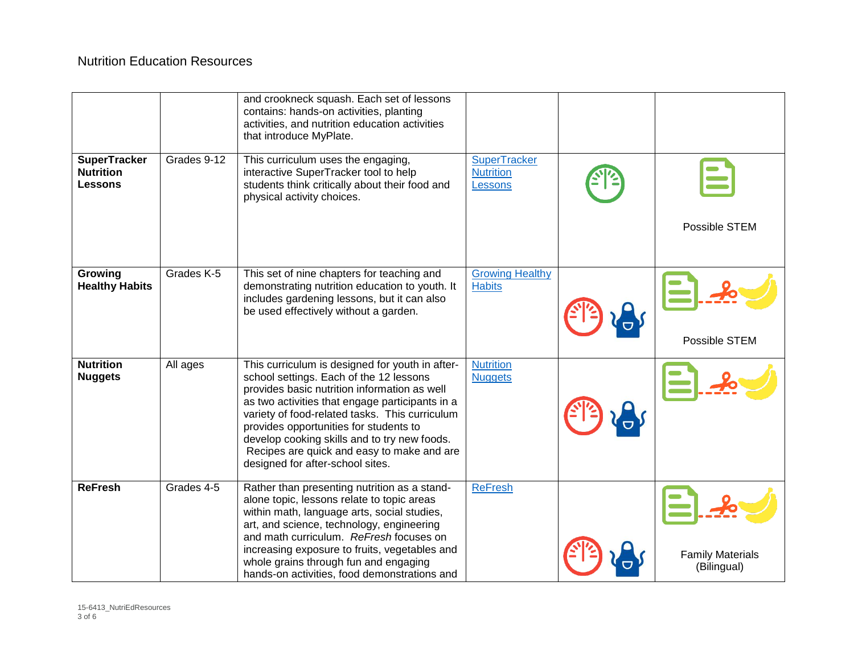|                                                    |             | and crookneck squash. Each set of lessons<br>contains: hands-on activities, planting<br>activities, and nutrition education activities<br>that introduce MyPlate.                                                                                                                                                                                                                                                           |                                                    |                                        |
|----------------------------------------------------|-------------|-----------------------------------------------------------------------------------------------------------------------------------------------------------------------------------------------------------------------------------------------------------------------------------------------------------------------------------------------------------------------------------------------------------------------------|----------------------------------------------------|----------------------------------------|
| <b>SuperTracker</b><br><b>Nutrition</b><br>Lessons | Grades 9-12 | This curriculum uses the engaging,<br>interactive SuperTracker tool to help<br>students think critically about their food and<br>physical activity choices.                                                                                                                                                                                                                                                                 | <b>SuperTracker</b><br><b>Nutrition</b><br>Lessons | Possible STEM                          |
| Growing<br><b>Healthy Habits</b>                   | Grades K-5  | This set of nine chapters for teaching and<br>demonstrating nutrition education to youth. It<br>includes gardening lessons, but it can also<br>be used effectively without a garden.                                                                                                                                                                                                                                        | <b>Growing Healthy</b><br><b>Habits</b>            | Possible STEM                          |
| <b>Nutrition</b><br><b>Nuggets</b>                 | All ages    | This curriculum is designed for youth in after-<br>school settings. Each of the 12 lessons<br>provides basic nutrition information as well<br>as two activities that engage participants in a<br>variety of food-related tasks. This curriculum<br>provides opportunities for students to<br>develop cooking skills and to try new foods.<br>Recipes are quick and easy to make and are<br>designed for after-school sites. | <b>Nutrition</b><br><b>Nuggets</b>                 |                                        |
| <b>ReFresh</b>                                     | Grades 4-5  | Rather than presenting nutrition as a stand-<br>alone topic, lessons relate to topic areas<br>within math, language arts, social studies,<br>art, and science, technology, engineering<br>and math curriculum. ReFresh focuses on<br>increasing exposure to fruits, vegetables and<br>whole grains through fun and engaging<br>hands-on activities, food demonstrations and                                                 | <b>ReFresh</b>                                     | <b>Family Materials</b><br>(Bilingual) |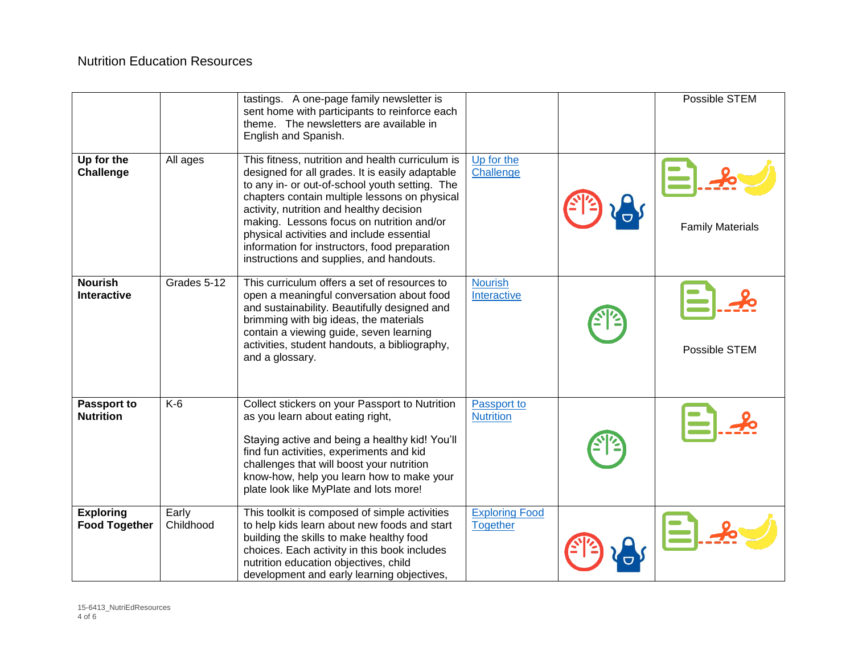|                                          |                    | tastings. A one-page family newsletter is<br>sent home with participants to reinforce each<br>theme. The newsletters are available in<br>English and Spanish.                                                                                                                                                                                                                                                                             |                                          | Possible STEM           |
|------------------------------------------|--------------------|-------------------------------------------------------------------------------------------------------------------------------------------------------------------------------------------------------------------------------------------------------------------------------------------------------------------------------------------------------------------------------------------------------------------------------------------|------------------------------------------|-------------------------|
| Up for the<br>Challenge                  | All ages           | This fitness, nutrition and health curriculum is<br>designed for all grades. It is easily adaptable<br>to any in- or out-of-school youth setting. The<br>chapters contain multiple lessons on physical<br>activity, nutrition and healthy decision<br>making. Lessons focus on nutrition and/or<br>physical activities and include essential<br>information for instructors, food preparation<br>instructions and supplies, and handouts. | Up for the<br>Challenge                  | <b>Family Materials</b> |
| <b>Nourish</b><br><b>Interactive</b>     | Grades 5-12        | This curriculum offers a set of resources to<br>open a meaningful conversation about food<br>and sustainability. Beautifully designed and<br>brimming with big ideas, the materials<br>contain a viewing guide, seven learning<br>activities, student handouts, a bibliography,<br>and a glossary.                                                                                                                                        | <b>Nourish</b><br>Interactive            | Possible STEM           |
| Passport to<br><b>Nutrition</b>          | $K-6$              | Collect stickers on your Passport to Nutrition<br>as you learn about eating right,<br>Staying active and being a healthy kid! You'll<br>find fun activities, experiments and kid<br>challenges that will boost your nutrition<br>know-how, help you learn how to make your<br>plate look like MyPlate and lots more!                                                                                                                      | Passport to<br><b>Nutrition</b>          |                         |
| <b>Exploring</b><br><b>Food Together</b> | Early<br>Childhood | This toolkit is composed of simple activities<br>to help kids learn about new foods and start<br>building the skills to make healthy food<br>choices. Each activity in this book includes<br>nutrition education objectives, child<br>development and early learning objectives,                                                                                                                                                          | <b>Exploring Food</b><br><b>Together</b> |                         |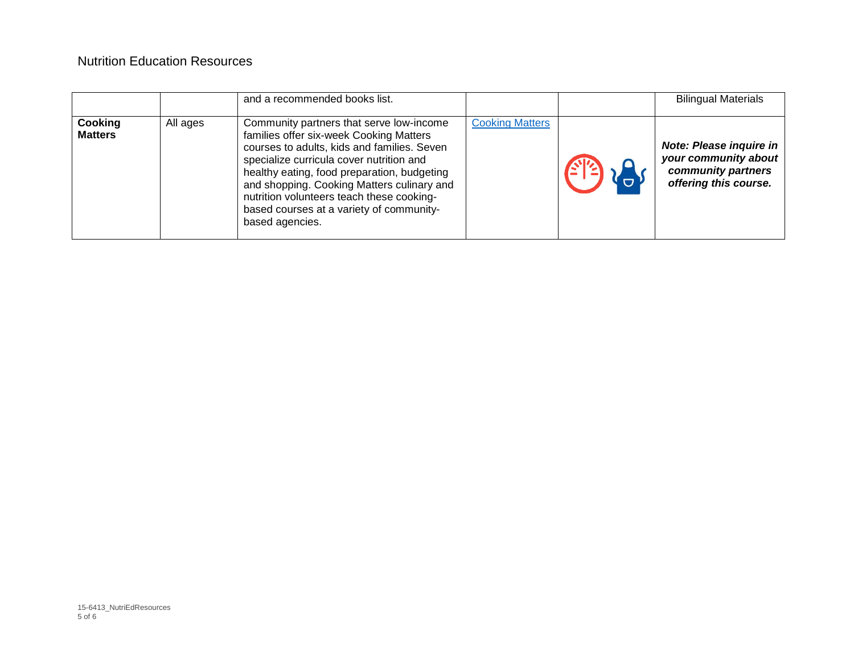|                           |          | and a recommended books list.                                                                                                                                                                                                                                                                                                                                                           |                        | <b>Bilingual Materials</b>                                                                            |
|---------------------------|----------|-----------------------------------------------------------------------------------------------------------------------------------------------------------------------------------------------------------------------------------------------------------------------------------------------------------------------------------------------------------------------------------------|------------------------|-------------------------------------------------------------------------------------------------------|
| Cooking<br><b>Matters</b> | All ages | Community partners that serve low-income<br>families offer six-week Cooking Matters<br>courses to adults, kids and families. Seven<br>specialize curricula cover nutrition and<br>healthy eating, food preparation, budgeting<br>and shopping. Cooking Matters culinary and<br>nutrition volunteers teach these cooking-<br>based courses at a variety of community-<br>based agencies. | <b>Cooking Matters</b> | <b>Note: Please inquire in</b><br>your community about<br>community partners<br>offering this course. |